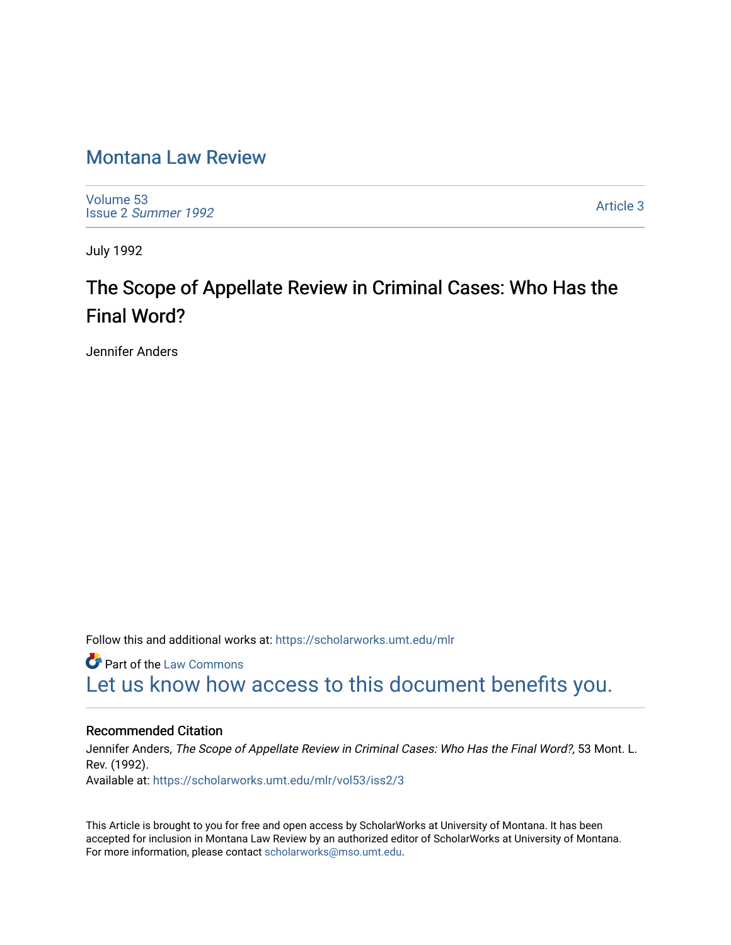## [Montana Law Review](https://scholarworks.umt.edu/mlr)

[Volume 53](https://scholarworks.umt.edu/mlr/vol53) Issue 2 [Summer 1992](https://scholarworks.umt.edu/mlr/vol53/iss2) 

[Article 3](https://scholarworks.umt.edu/mlr/vol53/iss2/3) 

July 1992

# The Scope of Appellate Review in Criminal Cases: Who Has the Final Word?

Jennifer Anders

Follow this and additional works at: [https://scholarworks.umt.edu/mlr](https://scholarworks.umt.edu/mlr?utm_source=scholarworks.umt.edu%2Fmlr%2Fvol53%2Fiss2%2F3&utm_medium=PDF&utm_campaign=PDFCoverPages) 

**C** Part of the [Law Commons](http://network.bepress.com/hgg/discipline/578?utm_source=scholarworks.umt.edu%2Fmlr%2Fvol53%2Fiss2%2F3&utm_medium=PDF&utm_campaign=PDFCoverPages) [Let us know how access to this document benefits you.](https://goo.gl/forms/s2rGfXOLzz71qgsB2) 

## Recommended Citation

Jennifer Anders, The Scope of Appellate Review in Criminal Cases: Who Has the Final Word?, 53 Mont. L. Rev. (1992). Available at: [https://scholarworks.umt.edu/mlr/vol53/iss2/3](https://scholarworks.umt.edu/mlr/vol53/iss2/3?utm_source=scholarworks.umt.edu%2Fmlr%2Fvol53%2Fiss2%2F3&utm_medium=PDF&utm_campaign=PDFCoverPages) 

This Article is brought to you for free and open access by ScholarWorks at University of Montana. It has been accepted for inclusion in Montana Law Review by an authorized editor of ScholarWorks at University of Montana. For more information, please contact [scholarworks@mso.umt.edu.](mailto:scholarworks@mso.umt.edu)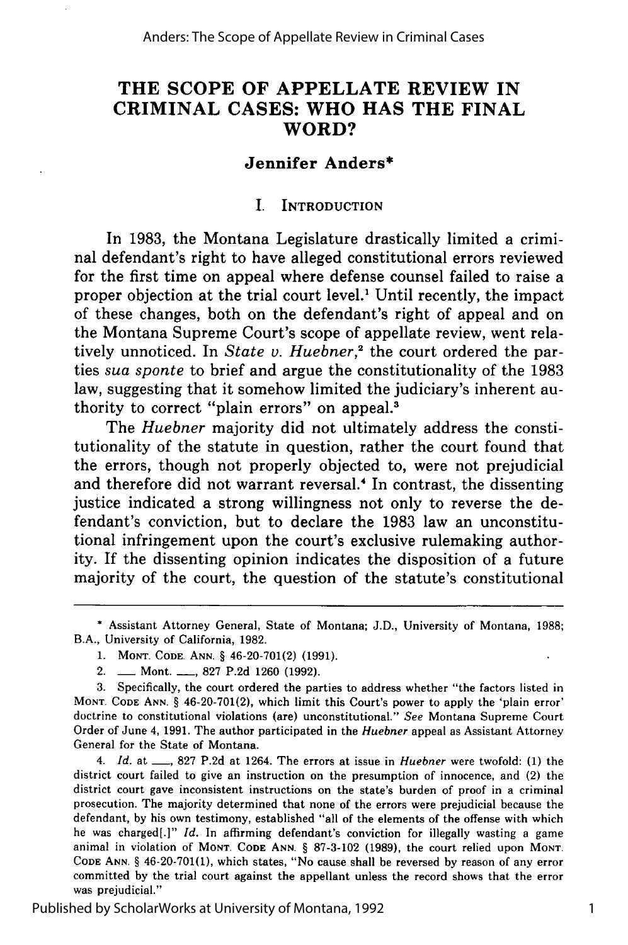## **THE SCOPE OF APPELLATE REVIEW IN CRIMINAL CASES: WHO HAS THE FINAL WORD?**

## **Jennifer Anders\***

#### **I. INTRODUCTION**

In **1983,** the Montana Legislature drastically limited a criminal defendant's right to have alleged constitutional errors reviewed for the first time on appeal where defense counsel failed to raise a proper objection at the trial court level.' Until recently, the impact of these changes, both on the defendant's right of appeal and on the Montana Supreme Court's scope of appellate review, went relatively unnoticed. In *State v. Huebner*,<sup>2</sup> the court ordered the parties *sua sponte* to brief and argue the constitutionality of the **1983** law, suggesting that it somehow limited the judiciary's inherent authority to correct "plain errors" on appeal.<sup>3</sup>

The *Huebner* majority did not ultimately address the constitutionality of the statute in question, rather the court found that the errors, though not properly objected to, were not prejudicial and therefore did not warrant reversal.<sup>4</sup> In contrast, the dissenting justice indicated a strong willingness not only to reverse the defendant's conviction, but to declare the **1983** law an unconstitutional infringement upon the court's exclusive rulemaking authority. If the dissenting opinion indicates the disposition of a future majority of the court, the question of the statute's constitutional

Published by ScholarWorks at University of Montana, 1992

**<sup>\*</sup>** Assistant Attorney General, State of Montana; **J.D.,** University of Montana, **1988;** B.A., University of California, **1982.**

**<sup>1.</sup> MONT. CODE. ANN. §** 46-20-701(2) **(1991).**

<sup>2.</sup> **-** Mont. **-\_, 827 P.2d 1260 (1992).**

**<sup>3.</sup>** Specifically, the court ordered the parties to address whether "the factors listed in **MONT. CODE ANN. §** 46-20-701(2), which limit this Court's power to apply the 'plain error' doctrine to constitutional violations (are) unconstitutional." *See* Montana Supreme Court Order of June 4, **1991.** The author participated in the *Huebner* appeal as Assistant Attorney General for the State of Montana.

<sup>4.</sup> *Id.* at **-, 827 P.2d** at 1264. The errors at issue in *Huebner* were twofold: **(1)** the district court failed to give an instruction on the presumption of innocence, and (2) the district court gave inconsistent instructions on the state's burden of proof in a criminal prosecution. The majority determined that none of the errors were prejudicial because the defendant, **by** his own testimony, established "all of the elements of the offense with which he was charged[.]" *Id.* In affirming defendant's conviction for illegally wasting a game animal in violation **of MONT. CODE ANN. § 87-3-102 (1989),** the court relied upon **MONT. CODE ANN. §** 46-20-701(1), which states, "No cause shall be reversed **by** reason of any error committed **by** the trial court against the appellant unless the record shows that the error was prejudicial."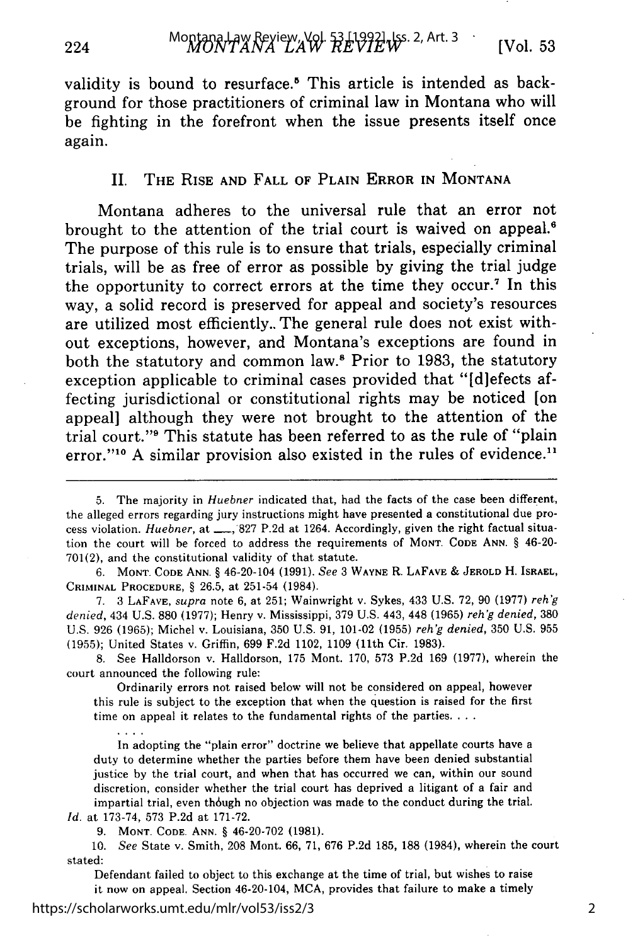validity is bound to resurface.<sup>5</sup> This article is intended as background for those practitioners of criminal law in Montana who will be fighting in the forefront when the issue presents itself once again.

#### II. THE RISE AND FALL OF **PLAIN** ERROR IN MONTANA

Montana adheres to the universal rule that an error not brought to the attention of the trial court is waived on appeal.<sup>6</sup> The purpose of this rule is to ensure that trials, especially criminal trials, will be as free of error as possible **by** giving the trial judge the opportunity to correct errors at the time they occur.' In this way, a solid record is preserved for appeal and society's resources are utilized most efficiently.. The general rule does not exist without exceptions, however, and Montana's exceptions are found in both the statutory and common law.' Prior to **1983,** the statutory exception applicable to criminal cases provided that "[d]efects affecting jurisdictional or constitutional rights may be noticed [on appeal] although they were not brought to the attention of the trial court."9 This statute has been referred to as the rule of "plain error."<sup>10</sup> A similar provision also existed in the rules of evidence.<sup>11</sup>

**6. MONT. CODE ANN.** § 46-20-104 (1991). *See* 3 **WAYNE** R. **LAFAVE** & **JEROLD** H. ISRAEL, **CRIMINAL PROCEDURE,** § **26.5,** at 251-54 (1984).

**7.** 3 **LAFAVE,** supra note **6,** at **251;** Wainwright v. Sykes, 433 **U.S. 72, 90 (1977)** *reh'g denied,* 434 **U.S. 880 (1977);** Henry v. Mississippi, **379 U.S.** 443, 448 **(1965)** *rehg denied,* **<sup>380</sup> U.S.** 926 **(1965);** Michel v. Louisiana, **350 U.S. 91,** 101-02 **(1955)** *reh'g denied,* **350 U.S. 955 (1955);** United States v. Griffin, **699 F.2d** 1102, **1109** (11th Cir. **1983).**

**8.** See Halldorson v. Halldorson, **175** Mont. **170, 573 P.2d 169 (1977),** wherein the court announced the following rule:

Ordinarily errors not raised below will not be considered on appeal, however this rule is subject to the exception that when the question is raised for the first time on appeal it relates to the fundamental rights of the parties. **...**

In adopting the "plain error" doctrine we believe that appellate courts have a duty to determine whether the parties before them have been denied substantial justice **by** the trial court, and when that has occurred we can, within our sound discretion, consider whether the trial court has deprived a litigant of a fair and impartial trial, even though no objection was made to the conduct during the trial. *Id.* at **173-74, 573 P.2d** at **171-72.**

**9. MONT. CODE. ANN.** § 46-20-702 **(1981).**

**10.** *See* State v. Smith, **208** Mont. **66, 71, 676 P.2d 185, 188** (1984), wherein the court stated:

Defendant failed to object to this exchange at the time of trial, but wishes to raise it now on appeal. Section 46-20-104, **MCA,** provides that failure to make a timely

 $\cdots$ 

2

<sup>5.</sup> The majority in *Huebner* indicated that, had the facts of the case been different, the alleged errors regarding jury instructions might have presented a constitutional due process violation. *Huebner*, at \_\_, 827 P.2d at 1264. Accordingly, given the right factual situation the court will be forced to address the requirements **of MONT. CODE ANN.** § 46-20- 701(2), and the constitutional validity of that statute.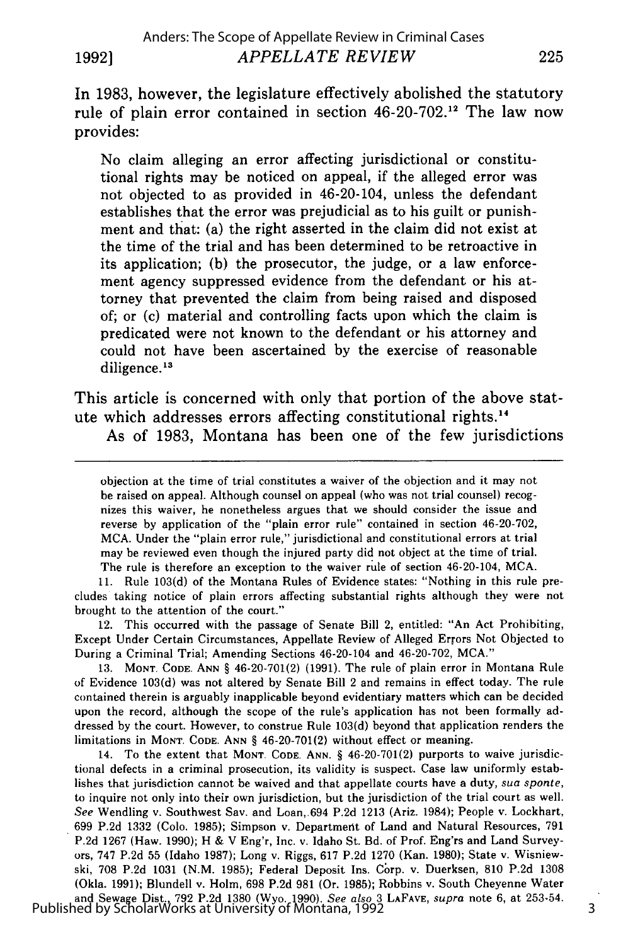In 1983, however, the legislature effectively abolished the statutory rule of plain error contained in section 46-20-702.<sup>12</sup> The law now provides:

No claim alleging an error affecting jurisdictional or constitutional rights may be noticed on appeal, if the alleged error was not objected to as provided in 46-20-104, unless the defendant establishes that the error was prejudicial as to his guilt or punishment and that: (a) the right asserted in the claim did not exist at the time of the trial and has been determined to be retroactive in its application; (b) the prosecutor, the judge, or a law enforcement agency suppressed evidence from the defendant or his attorney that prevented the claim from being raised and disposed of; or (c) material and controlling facts upon which the claim is predicated were not known to the defendant or his attorney and could not have been ascertained by the exercise of reasonable diligence.<sup>13</sup>

This article is concerned with only that portion of the above statute which addresses errors affecting constitutional rights.14

As of 1983, Montana has been one of the few jurisdictions

objection at the time of trial constitutes a waiver of the objection and it may not be raised on appeal. Although counsel on appeal (who was not trial counsel) recognizes this waiver, he nonetheless argues that we should consider the issue and reverse by application of the "plain error rule" contained in section 46-20-702, MCA. Under the "plain error rule," jurisdictional and constitutional errors at trial may be reviewed even though the injured party did not object at the time of trial. The rule is therefore an exception to the waiver rule of section 46-20-104, MCA.

11. Rule 103(d) of the Montana Rules of Evidence states: "Nothing in this rule precludes taking notice of plain errors affecting substantial rights although they were not brought to the attention of the court."

12. This occurred with the passage of Senate Bill 2, entitled: "An Act Prohibiting, Except Under Certain Circumstances, Appellate Review of Alleged Errors Not Objected to During a Criminal Trial; Amending Sections 46-20-104 and 46-20-702, MCA."

**13. MONT. CODE. ANN** § 46-20-701(2) (1991). The rule of plain error in Montana Rule of Evidence 103(d) was not altered by Senate Bill 2 and remains in effect today. The rule contained therein is arguably inapplicable beyond evidentiary matters which can be decided upon the record, although the scope of the rule's application has not been formally addressed by the court. However, to construe Rule 103(d) beyond that application renders the limitations in MONT. CODE. **ANN** § 46-20-701(2) without effect or meaning.

14. To the extent that MONT. **CODE. ANN.** § 46-20-701(2) purports to waive jurisdictional defects in a criminal prosecution, its validity is suspect. Case law uniformly establishes that jurisdiction cannot be waived and that appellate courts have a duty, *sua sponte,* to inquire not only into their own jurisdiction, but the jurisdiction of the trial court as well. *See* Wendling v. Southwest Say. and Loan,.694 P.2d 1213 (Ariz. 1984); People v. Lockhart, 699 P.2d 1332 (Colo. 1985); Simpson v. Departmerit of Land and Natural Resources, 791 P.2d 1267 (Haw. 1990); H & V Eng'r, Inc. v. Idaho St. Bd. of Prof. Eng'rs and Land Surveyors, 747 P.2d 55 (Idaho 1987); Long v. Riggs, 617 P.2d 1270 (Kan. 1980); State v. Wisniewski, 708 P.2d 1031 (N.M. 1985); Federal Deposit Ins. Corp. v. Duerksen, 810 P.2d 1308 (Okla. 1991); Blundell v. Holm, 698 P.2d 981 (Or. 1985); Robbins v. South Cheyenne Water and Sewage Dist., 792 P.2d 1380 (Wyo. 1990). *See also* 3 **LAFAVE,** *supra* note 6, at 253-54. Published by ScholarWorks at University of Montana, 1992

3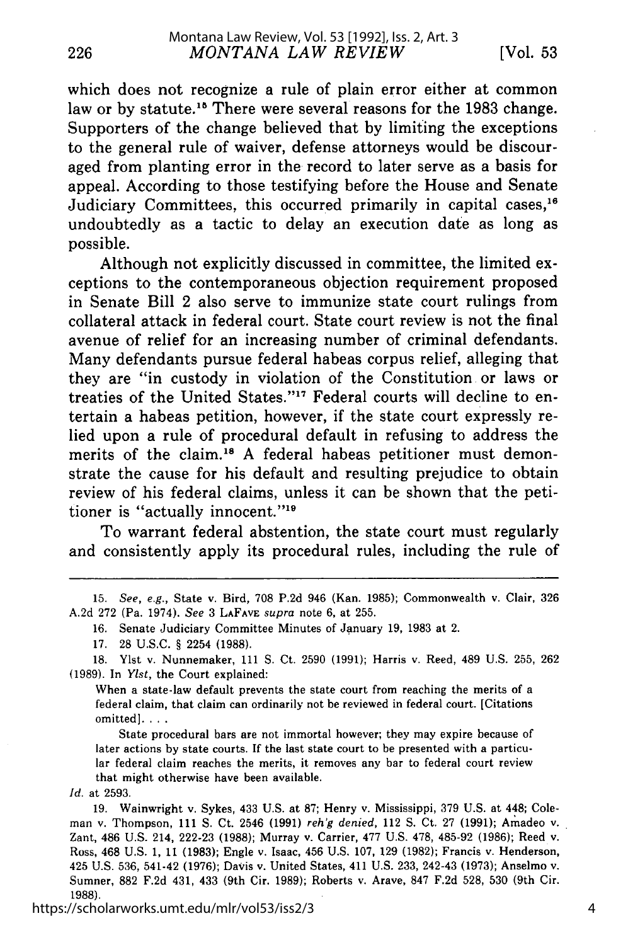which does not recognize a rule of plain error either at common law or by statute.<sup>15</sup> There were several reasons for the 1983 change. Supporters of the change believed that by limiting the exceptions to the general rule of waiver, defense attorneys would be discouraged from planting error in the record to later serve as a basis for appeal. According to those testifying before the House and Senate Judiciary Committees, this occurred primarily in capital cases,<sup>16</sup> undoubtedly as a tactic to delay an execution date as long as possible.

Although not explicitly discussed in committee, the limited exceptions to the contemporaneous objection requirement proposed in Senate Bill 2 also serve to immunize state court rulings from collateral attack in federal court. State court review is not the final avenue of relief for an increasing number of criminal defendants. Many defendants pursue federal habeas corpus relief, alleging that they are "in custody in violation of the Constitution or laws or treaties of the United States."<sup>17</sup> Federal courts will decline to entertain a habeas petition, however, if the state court expressly relied upon a rule of procedural default in refusing to address the merits of the claim.<sup>18</sup> A federal habeas petitioner must demonstrate the cause for his default and resulting prejudice to obtain review of his federal claims, unless it can be shown that the petitioner is "actually innocent."<sup>19</sup>

To warrant federal abstention, the state court must regularly and consistently apply its procedural rules, including the rule of

15. *See, e.g.,* State v. Bird, 708 P.2d 946 (Kan. 1985); Commonwealth v. Clair, 326 A.2d 272 (Pa. 1974). *See* 3 LAFAVE *supra* note 6, at 255.

16. Senate Judiciary Committee Minutes of January 19, 1983 at 2.

17. 28 U.S.C. § 2254 (1988).

18. Ylst v. Nunnemaker, 111 **S.** Ct. 2590 (1991); Harris v. Reed, 489 U.S. 255, 262 (1989). In *Ylst,* the Court explained:

When a state-law default prevents the state court from reaching the merits of a federal claim, that claim can ordinarily not be reviewed in federal court. [Citations omitted]. **...**

State procedural bars are not immortal however; they may expire because of later actions by state courts. If the last state court to be presented with a particular federal claim reaches the merits, it removes any bar to federal court review that might otherwise have been available.

*Id.* at 2593.

226

19. Wainwright v. Sykes, 433 U.S. at 87; Henry v. Mississippi, 379 U.S. at 448; Coleman v. Thompson, 111 **S.** Ct. 2546 (1991) *reh'g denied,* 112 **S.** Ct. 27 (1991); Armadeo v. Zant, 486 U.S. 214, 222-23 (1988); Murray v. Carrier, 477 U.S. 478, 485-92 (1986); Reed v. Ross, 468 U.S. 1, 11 (1983); Engle v. Isaac, 456 U.S. 107, 129 (1982); Francis v. Henderson, 425 U.S. 536, 541-42 (1976); Davis v. United States, 411 U.S. 233, 242-43 (1973); Anselmo v. Sumner, 882 F.2d 431, 433 (9th Cir. 1989); Roberts v. Arave, 847 F.2d 528, 530 (9th Cir. 1988).

https://scholarworks.umt.edu/mlr/vol53/iss2/3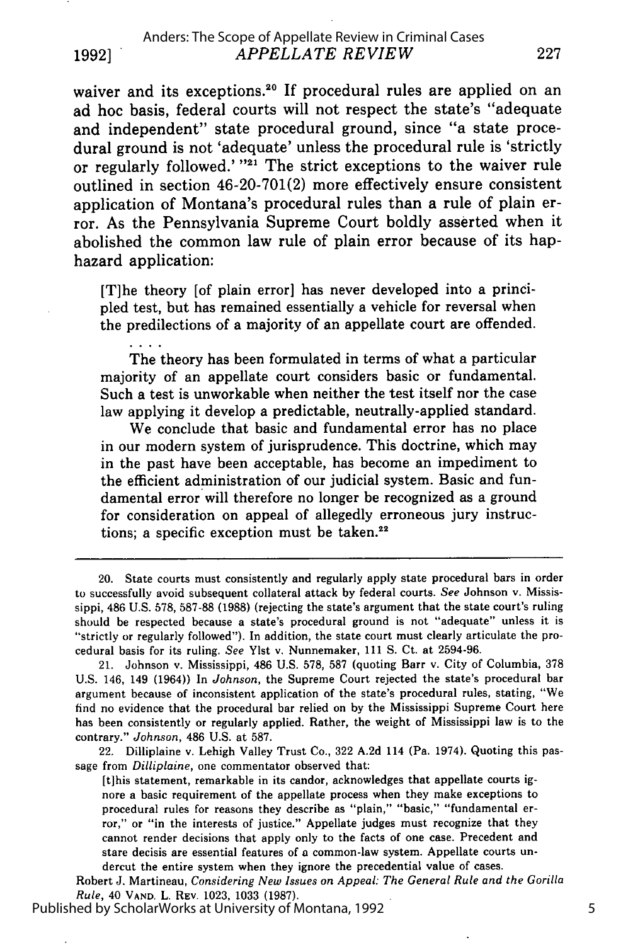waiver and its exceptions.<sup>20</sup> If procedural rules are applied on an ad hoc basis, federal courts will not respect the state's "adequate and independent" state procedural ground, since "a state procedural ground is not 'adequate' unless the procedural rule is 'strictly or regularly followed.' **"21** The strict exceptions to the waiver rule outlined in section 46-20-701(2) more effectively ensure consistent application of Montana's procedural rules than a rule of plain error. As the Pennsylvania Supreme Court boldly asserted when it abolished the common law rule of plain error because of its haphazard application:

[T]he theory [of plain error] has never developed into a principled test, but has remained essentially a vehicle for reversal when the predilections of a majority of an appellate court are offended.

The theory has been formulated in terms of what a particular majority of an appellate court considers basic or fundamental. Such a test is unworkable when neither the test itself nor the case law applying it develop a predictable, neutrally-applied standard.

We conclude that basic and fundamental error has no place in our modern system of jurisprudence. This doctrine, which may in the past have been acceptable, has become an impediment to the efficient administration of our judicial system. Basic and fundamental error will therefore no longer be recognized as a ground for consideration on appeal of allegedly erroneous jury instructions; a specific exception must be taken. $22$ 

22. Dilliplaine v. Lehigh Valley Trust Co., 322 A.2d 114 (Pa. 1974). Quoting this passage from *Dilliplaine,* one commentator observed that:

[tihis statement, remarkable in its candor, acknowledges that appellate courts ignore a basic requirement of the appellate process when they make exceptions to procedural rules for reasons they describe as "plain," "basic," "fundamental error," or "in the interests of justice." Appellate judges must recognize that they cannot render decisions that apply only to the facts of one case. Precedent and stare decisis are essential features of a common-law system. Appellate courts undercut the entire system when they ignore the precedential value of cases.

Robert J. Martineau, *Considering New Issues on Appeal: The General Rule and the Gorilla Rule,* 40 VAND. L. REV. 1023, 1033 (1987).

Published by ScholarWorks at University of Montana, 1992

<sup>20.</sup> State courts must consistently and regularly apply state procedural bars in order to successfully avoid subsequent collateral attack by federal courts. *See* Johnson v. Mississippi, 486 U.S. 578, 587-88 (1988) (rejecting the state's argument that the state court's ruling should be respected because a state's procedural ground is not "adequate" unless it is "strictly or regularly followed"). In addition, the state court must clearly articulate the procedural basis for its ruling. *See* Ylst v. Nunnemaker, 111 **S.** Ct. at 2594-96.

<sup>21.</sup> Johnson v. Mississippi, 486 U.S. 578, 587 (quoting Barr v. City of Columbia, 378 U.S. 146, 149 (1964)) In *Johnson,* the Supreme Court rejected the state's procedural bar argument because of inconsistent application of the state's procedural rules, stating, "We find no evidence that the procedural bar relied on by the Mississippi Supreme Court here has been consistently or regularly applied. Rather, the weight of Mississippi law is to the contrary." *Johnson,* 486 U.S. at 587.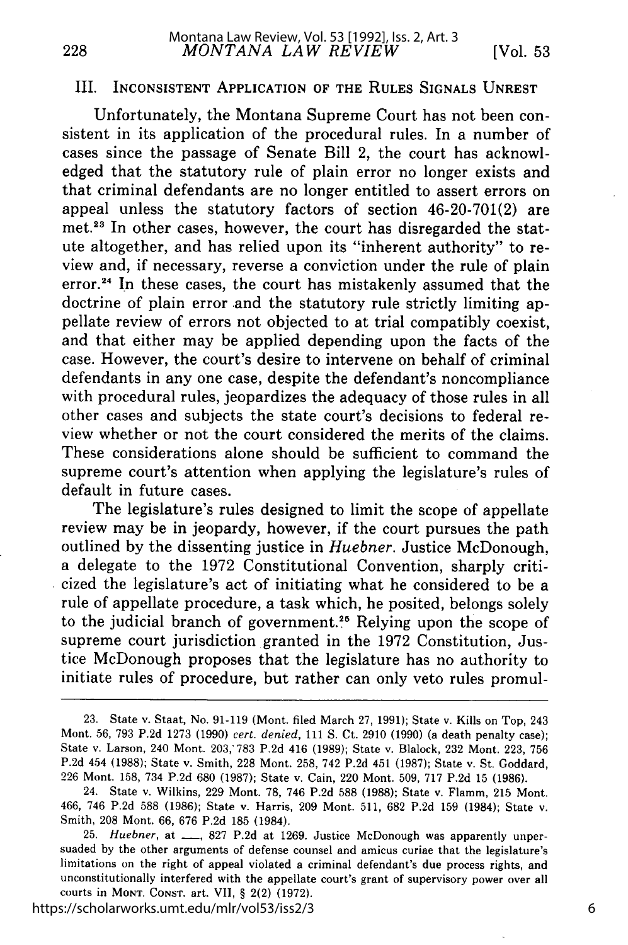#### III. **INCONSISTENT APPLICATION OF THE RULES SIGNALS UNREST**

Unfortunately, the Montana Supreme Court has not been consistent in its application of the procedural rules. In a number of cases since the passage of Senate Bill 2, the court has acknowledged that the statutory rule of plain error no longer exists and that criminal defendants are no longer entitled to assert errors on appeal unless the statutory factors of section 46-20-701(2) are met.<sup>23</sup> In other cases, however, the court has disregarded the statute altogether, and has relied upon its "inherent authority" to review and, if necessary, reverse a conviction under the rule of plain error.<sup>24</sup> In these cases, the court has mistakenly assumed that the doctrine of plain error and the statutory rule strictly limiting appellate review of errors not objected to at trial compatibly coexist, and that either may be applied depending upon the facts of the case. However, the court's desire to intervene on behalf of criminal defendants in any one case, despite the defendant's noncompliance with procedural rules, jeopardizes the adequacy of those rules in all other cases and subjects the state court's decisions to federal review whether or not the court considered the merits of the claims. These considerations alone should be sufficient to command the supreme court's attention when applying the legislature's rules of default in future cases.

The legislature's rules designed to limit the scope of appellate review may be in jeopardy, however, if the court pursues the path outlined **by** the dissenting justice in *Huebner.* Justice McDonough, a delegate to the **1972** Constitutional Convention, sharply criticized the legislature's act of initiating what he considered to be a rule of appellate procedure, a task which, he posited, belongs solely to the judicial branch of government.<sup>25</sup> Relying upon the scope of supreme court jurisdiction granted in the **1972** Constitution, Justice McDonough proposes that the legislature has no authority to initiate rules of procedure, but rather can only veto rules promul-

https://scholarworks.umt.edu/mlr/vol53/iss2/3

**<sup>23.</sup>** State v. Staat, No. **91-119** (Mont. filed March **27, 1991);** State v. Kills on Top, 243 Mont. **56, 793 P.2d 1273 (1990)** *cert. denied,* **111 S.** Ct. **2910 (1990)** (a death penalty case); State v. Larson, 240 Mont. **203,783 P.2d** 416 **(1989);** State v. Blalock, **232** Mont. **223, 756 P.2d** 454 **(1988);** State v. Smith, **228** Mont. **258,** 742 **P.2d** 451 **(1987);** State v. St. Goddard, 226 Mont. **158,** 734 **P.2d 680 (1987);** State v. Cain, 220 Mont. **509, 717 P.2d 15 (1986).**

<sup>24.</sup> State v. Wilkins, **229** Mont. **78,** 746 **P.2d 588 (1988);** State v. Flamm, **215** Mont. 466, 746 **P.2d 588 (1986);** State v. Harris, **209** Mont. **511, 682 P.2d 159** (1984); State v. Smith, **208** Mont. **66, 676 P.2d 185** (1984).

**<sup>25.</sup>** *Huebner,* at **-, 827 P.2d** at **1269.** Justice McDonough was apparently unpersuaded **by** the other arguments of defense counsel and amicus curiae that the legislature's limitations on the right of appeal violated a criminal defendant's due process rights, and unconstitutionally interfered with the appellate court's grant of supervisory power over all courts in MONT. CONST. art. VII, § 2(2) (1972).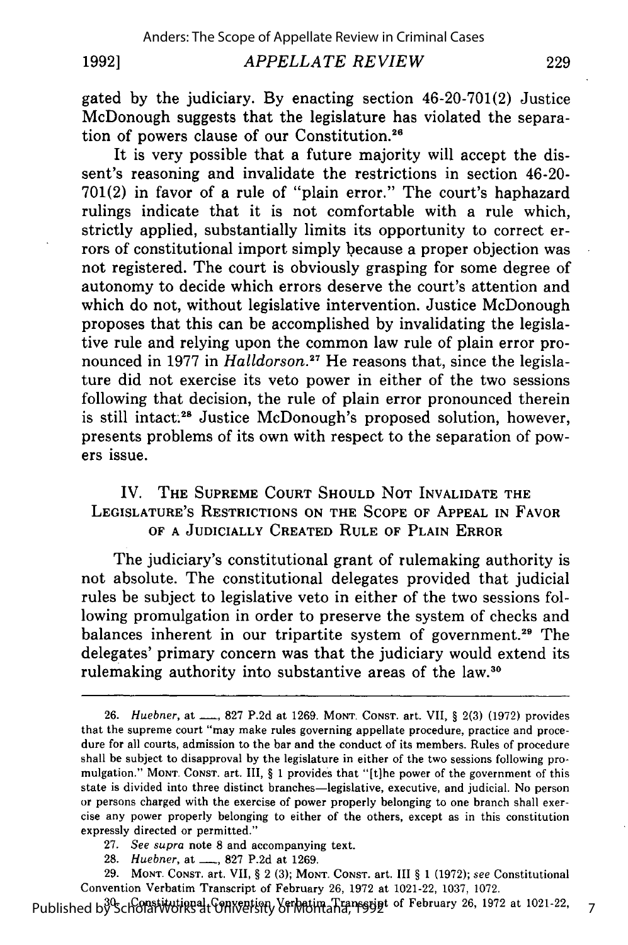#### **1992]**

#### *APPELLATE REVIEW*

gated by the judiciary. By enacting section 46-20-701(2) Justice McDonough suggests that the legislature has violated the separation of powers clause of our Constitution.26

It is very possible that a future majority will accept the dissent's reasoning and invalidate the restrictions in section 46-20- 701(2) in favor of a rule of "plain error." The court's haphazard rulings indicate that it is not comfortable with a rule which, strictly applied, substantially limits its opportunity to correct errors of constitutional import simply because a proper objection was not registered. The court is obviously grasping for some degree of autonomy to decide which errors deserve the court's attention and which do not, without legislative intervention. Justice McDonough proposes that this can be accomplished by invalidating the legislative rule and relying upon the common law rule of plain error pronounced in 1977 in *Halldorson.27* He reasons that, since the legislature did not exercise its veto power in either of the two sessions following that decision, the rule of plain error pronounced therein is still intact.<sup>28</sup> Justice McDonough's proposed solution, however, presents problems of its own with respect to the separation of powers issue.

### IV. **THE** SUPREME **COURT SHOULD NOT** INVALIDATE THE LEGISLATURE'S RESTRICTIONS **ON** THE **SCOPE** OF **APPEAL IN** FAVOR OF **A** JUDICIALLY CREATED RULE OF **PLAIN** ERROR

The judiciary's constitutional grant of rulemaking authority is not absolute. The constitutional delegates provided that judicial rules be subject to legislative veto in either of the two sessions following promulgation in order to preserve the system of checks and balances inherent in our tripartite system of government.<sup>29</sup> The delegates' primary concern was that the judiciary would extend its rulemaking authority into substantive areas of the law.30

- 27. *See supra* note 8 and accompanying text.
- 28. *Huebner*, at <u>1, 827</u> P.2d at 1269.

29. MONT. CONST. art. VII, **§** 2 (3); MONT. CONST. art. **III** § 1 (1972); *see* Constitutional Convention Verbatim Transcript of February 26, 1972 at 1021-22, 1037, 1072.

Published by Scholat Works at Converting Verbatim Transgript of February 26, 1972 at 1021-22

7

<sup>26.</sup> *Huebner*, at ..., 827 P.2d at 1269. MONT. CONST. art. VII, § 2(3) (1972) provides that the supreme court "may make rules governing appellate procedure, practice and procedure for all courts, admission to the bar and the conduct of its members. Rules of procedure shall be subject to disapproval by the legislature in either of the two sessions following promulgation." MONT. CONST. art. III, § 1 provides that "[tihe power of the government of this state is divided into three distinct branches-legislative, executive, and judicial. No person or persons charged with the exercise of power properly belonging to one branch shall exercise any power properly belonging to either of the others, except as in this constitution expressly directed or permitted."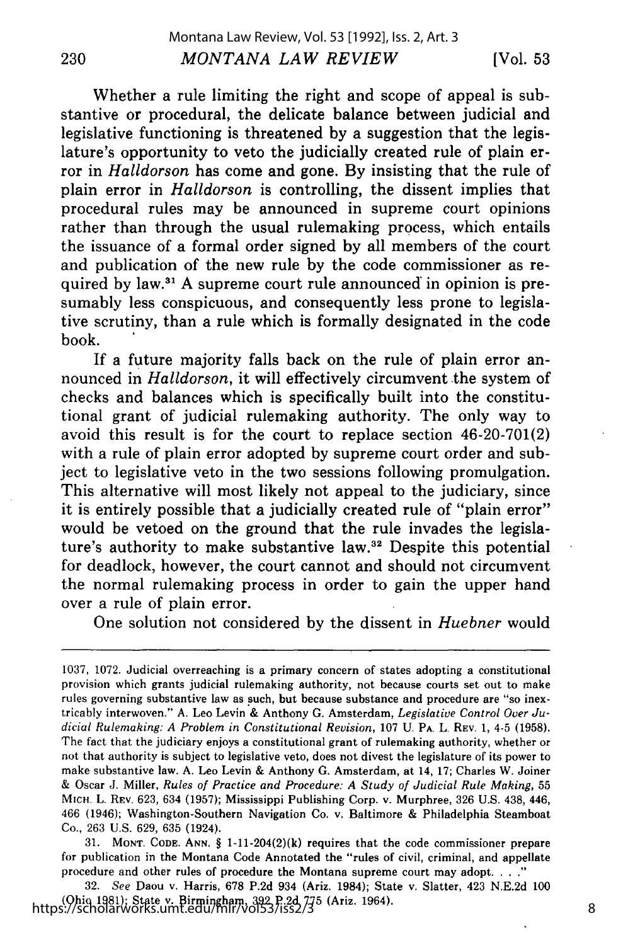Whether a rule limiting the right and scope of appeal is substantive or procedural, the delicate balance between judicial and legislative functioning is threatened by a suggestion that the legislature's opportunity to veto the judicially created rule of plain error in *Halldorson* has come and gone. By insisting that the rule of plain error in *Halldorson* is controlling, the dissent implies that procedural rules may be announced in supreme court opinions rather than through the usual rulemaking process, which entails the issuance of a formal order signed by all members of the court and publication of the new rule by the code commissioner as required by law.<sup>31</sup> A supreme court rule announced in opinion is presumably less conspicuous, and consequently less prone to legislative scrutiny, than a rule which is formally designated in the code book.

If a future majority falls back on the rule of plain error announced in *Halldorson*, it will effectively circumvent the system of checks and balances which is specifically built into the constitutional grant of judicial rulemaking authority. The only way to avoid this result is for the court to replace section 46-20-701(2) with a rule of plain error adopted by supreme court order and subject to legislative veto in the two sessions following promulgation. This alternative will most likely not appeal to the judiciary, since it is entirely possible that a judicially created rule of "plain error" would be vetoed on the ground that the rule invades the legislature's authority to make substantive law.<sup>32</sup> Despite this potential for deadlock, however, the court cannot and should not circumvent the normal rulemaking process in order to gain the upper hand over a rule of plain error.

One solution not considered by the dissent in *Huebner* would

31. MONT. **CODE. ANN.** § 1-11-204(2)(k) requires that the code commissioner prepare for publication in the Montana Code Annotated the "rules of civil, criminal, and appellate procedure and other rules of procedure the Montana supreme court may adopt. . . ."

**32.** *See* Daou v. Harris, **678 P.2d** 934 (Ariz. 1984); State v. Slatter, 423 **N.E.2d 100** (Ohio **1981);** State v. Birmingham, **392 P.2d 775** (Ariz. 1964). https://scholarworks.umt.edu/mlr/vol53/iss2/3

<sup>1037,</sup> 1072. Judicial overreaching is a primary concern of states adopting a constitutional provision which grants judicial rulemaking authority, not because courts set out to make rules governing substantive law as such, but because substance and procedure are "so inextricably interwoven." **A.** Leo Levin & Anthony G. Amsterdam, *Legislative Control Over Judicial Rulemaking: A Problem in Constitutional Revision,* 107 U. **PA.** L. REV. 1, 4-5 (1958). The fact that the judiciary enjoys a constitutional grant of rulemaking authority, whether or not that authority is subject to legislative veto, does not divest the legislature of its power to make substantive law. A. Leo Levin & Anthony **G.** Amsterdam, at 14, 17; Charles W. Joiner & Oscar J. Miller, *Rules of Practice and Procedure: A Study of Judicial Rule Making,* 55 MIcH. L. REV. 623, 634 (1957); Mississippi Publishing Corp. v. Murphree, 326 U.S. 438, 446, 466 (1946); Washington-Southern Navigation Co. v. Baltimore & Philadelphia Steamboat Co., 263 U.S. 629, 635 (1924).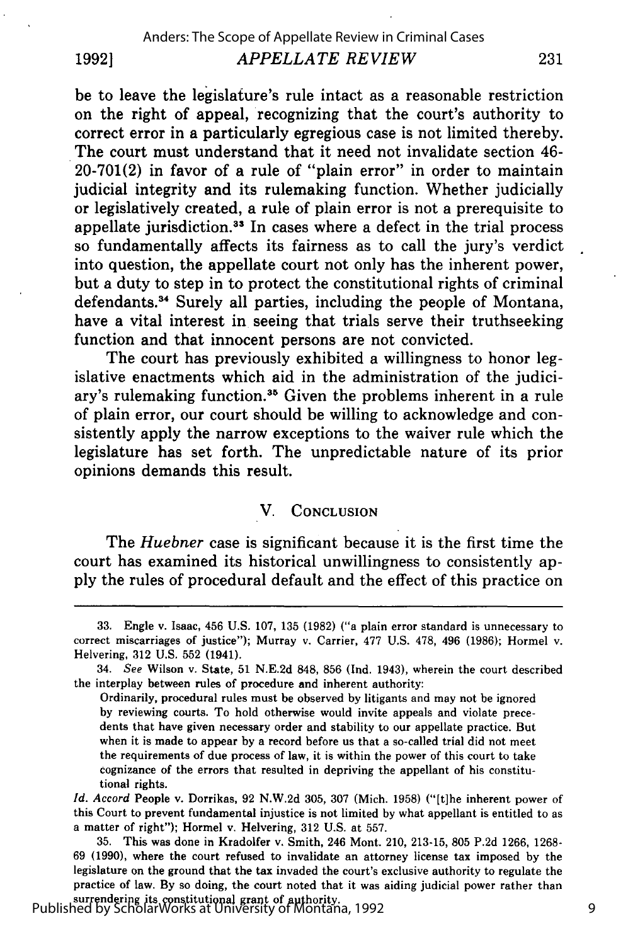be to leave the legislature's rule intact as a reasonable restriction on the right of appeal, recognizing that the court's authority to correct error in a particularly egregious case is not limited thereby. The court must understand that it need not invalidate section 46- **20-701(2)** in favor of a rule of "plain error" in order to maintain judicial integrity and its rulemaking function. Whether judicially or legislatively created, a rule of plain error is not a prerequisite to appellate jurisdiction.<sup>33</sup> In cases where a defect in the trial process so fundamentally affects its fairness as to call the jury's verdict into question, the appellate court not only has the inherent power, but a duty to step in to protect the constitutional rights of criminal defendants.<sup>34</sup> Surely all parties, including the people of Montana, have a vital interest in seeing that trials serve their truthseeking function and that innocent persons are not convicted.

The court has previously exhibited a willingness to honor legislative enactments which aid in the administration of the judiciary's rulemaking function.<sup>35</sup> Given the problems inherent in a rule of plain error, our court should be willing to acknowledge and consistently apply the narrow exceptions to the waiver rule which the legislature has set forth. The unpredictable nature of its prior opinions demands this result.

#### V. **CONCLUSION**

The *Huebner* case is significant because it is the first time the court has examined its historical unwillingness to consistently ap**ply** the rules of procedural default and the effect of this practice on

surrendering its constitutional grant of authority. Published by ScholarWorks at University of Montana, 1992

**19921**

**<sup>33.</sup>** Engle v. Isaac, 456 **U.S. 107, 135 (1982) ("a** plain error standard is unnecessary to correct miscarriages of justice"); Murray v. Carrier, **477 U.S. 478,** 496 **(1986);** Hormel v. Helvering, **312 U.S. 552** (1941).

<sup>34.</sup> See Wilson v. State, **51 N.E.2d 848, 856 (Ind.** 1943), wherein the court described the interplay between rules of procedure and inherent authority:

Ordinarily, procedural rules must be observed **by** litigants and may not be ignored **by** reviewing courts. To hold otherwise would invite appeals and violate precedents that have given necessary order and stability to our appellate practice. But when it is made to appear **by** a record before us that a so-called trial did not meet the requirements of due process of law, it is within the power of this court to take cognizance **of** the errors that resulted in depriving the appellant of his constitutional rights.

*Id. Accord* People v. Dorrikas, **92 N.W.2d 305, 307** (Mich. **1958)** ("[tlhe inherent power of this Court to prevent fundamental injustice is not limited **by** what appellant is entitled to as a matter of right"); Hormel v. Helvering, **312 U.S.** at **557.**

**<sup>35.</sup>** This was done in Kradolfer v. Smith, 246 Mont. 210, **213-15, 805 P.2d 1266, 1268- 69 (1990),** where the court refused to invalidate an attorney license tax imposed **by** the legislature on the ground that the tax invaded the court's exclusive authority to regulate the practice of law. **By** so doing, the court noted that it was aiding judicial power rather than